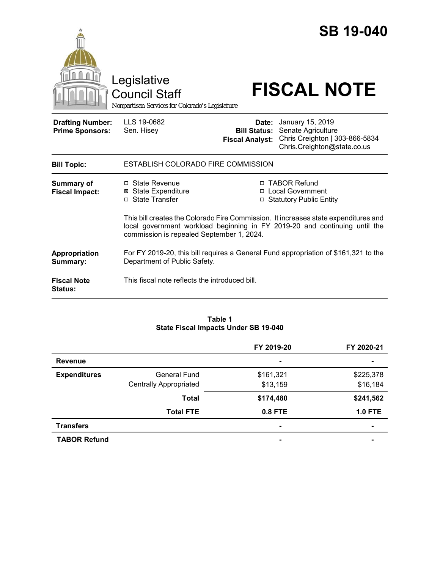|                                                   | Legislative<br><b>Council Staff</b><br>Nonpartisan Services for Colorado's Legislature                              |                                                                                                                         | <b>SB 19-040</b><br><b>FISCAL NOTE</b>                                                                                                                   |  |
|---------------------------------------------------|---------------------------------------------------------------------------------------------------------------------|-------------------------------------------------------------------------------------------------------------------------|----------------------------------------------------------------------------------------------------------------------------------------------------------|--|
| <b>Drafting Number:</b><br><b>Prime Sponsors:</b> | LLS 19-0682<br>Sen. Hisey                                                                                           | <b>Fiscal Analyst:</b>                                                                                                  | <b>Date:</b> January 15, 2019<br><b>Bill Status: Senate Agriculture</b><br>Chris Creighton   303-866-5834<br>Chris.Creighton@state.co.us                 |  |
| <b>Bill Topic:</b>                                | ESTABLISH COLORADO FIRE COMMISSION                                                                                  |                                                                                                                         |                                                                                                                                                          |  |
| Summary of<br><b>Fiscal Impact:</b>               | $\Box$ State Revenue<br><b>State Expenditure</b><br>⊠<br>□ State Transfer                                           |                                                                                                                         | □ TABOR Refund<br>□ Local Government<br>□ Statutory Public Entity<br>This bill creates the Colorado Fire Commission. It increases state expenditures and |  |
|                                                   |                                                                                                                     | local government workload beginning in FY 2019-20 and continuing until the<br>commission is repealed September 1, 2024. |                                                                                                                                                          |  |
| Appropriation<br>Summary:                         | For FY 2019-20, this bill requires a General Fund appropriation of \$161,321 to the<br>Department of Public Safety. |                                                                                                                         |                                                                                                                                                          |  |
| <b>Fiscal Note</b><br>Status:                     | This fiscal note reflects the introduced bill.                                                                      |                                                                                                                         |                                                                                                                                                          |  |

### **Table 1 State Fiscal Impacts Under SB 19-040**

|                     |                               | FY 2019-20     | FY 2020-21     |
|---------------------|-------------------------------|----------------|----------------|
| <b>Revenue</b>      |                               | $\blacksquare$ | $\blacksquare$ |
| <b>Expenditures</b> | General Fund                  | \$161,321      | \$225,378      |
|                     | <b>Centrally Appropriated</b> | \$13,159       | \$16,184       |
|                     | <b>Total</b>                  | \$174,480      | \$241,562      |
|                     | <b>Total FTE</b>              | <b>0.8 FTE</b> | <b>1.0 FTE</b> |
| <b>Transfers</b>    |                               |                | $\blacksquare$ |
| <b>TABOR Refund</b> |                               |                |                |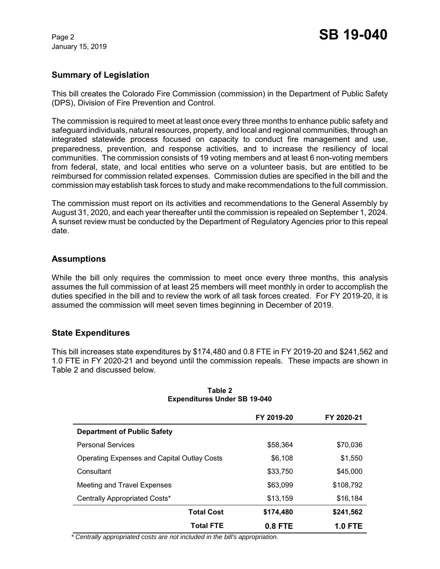January 15, 2019

# **Summary of Legislation**

This bill creates the Colorado Fire Commission (commission) in the Department of Public Safety (DPS), Division of Fire Prevention and Control.

The commission is required to meet at least once every three months to enhance public safety and safeguard individuals, natural resources, property, and local and regional communities, through an integrated statewide process focused on capacity to conduct fire management and use, preparedness, prevention, and response activities, and to increase the resiliency of local communities. The commission consists of 19 voting members and at least 6 non-voting members from federal, state, and local entities who serve on a volunteer basis, but are entitled to be reimbursed for commission related expenses. Commission duties are specified in the bill and the commission may establish task forces to study and make recommendations to the full commission.

The commission must report on its activities and recommendations to the General Assembly by August 31, 2020, and each year thereafter until the commission is repealed on September 1, 2024. A sunset review must be conducted by the Department of Regulatory Agencies prior to this repeal date.

## **Assumptions**

While the bill only requires the commission to meet once every three months, this analysis assumes the full commission of at least 25 members will meet monthly in order to accomplish the duties specified in the bill and to review the work of all task forces created. For FY 2019-20, it is assumed the commission will meet seven times beginning in December of 2019.

## **State Expenditures**

This bill increases state expenditures by \$174,480 and 0.8 FTE in FY 2019-20 and \$241,562 and 1.0 FTE in FY 2020-21 and beyond until the commission repeals. These impacts are shown in Table 2 and discussed below.

|                                             | FY 2019-20 | FY 2020-21     |
|---------------------------------------------|------------|----------------|
| <b>Department of Public Safety</b>          |            |                |
| <b>Personal Services</b>                    | \$58,364   | \$70,036       |
| Operating Expenses and Capital Outlay Costs | \$6,108    | \$1,550        |
| Consultant                                  | \$33,750   | \$45,000       |
| Meeting and Travel Expenses                 | \$63,099   | \$108,792      |
| Centrally Appropriated Costs*               | \$13,159   | \$16,184       |
| <b>Total Cost</b>                           | \$174,480  | \$241,562      |
| <b>Total FTE</b>                            | $0.8$ FTE  | <b>1.0 FTE</b> |

#### **Table 2 Expenditures Under SB 19-040**

 *\* Centrally appropriated costs are not included in the bill's appropriation.*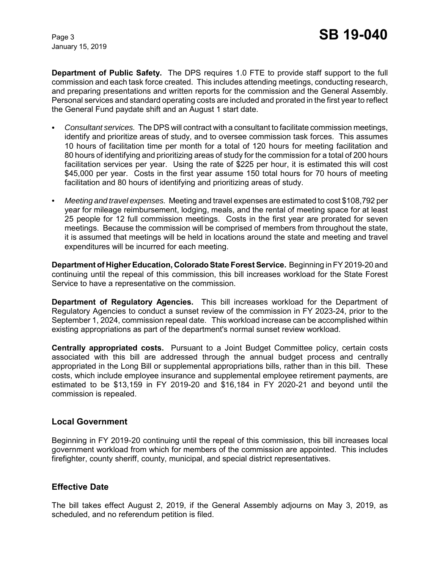January 15, 2019

**Department of Public Safety.** The DPS requires 1.0 FTE to provide staff support to the full commission and each task force created. This includes attending meetings, conducting research, and preparing presentations and written reports for the commission and the General Assembly. Personal services and standard operating costs are included and prorated in the first year to reflect the General Fund paydate shift and an August 1 start date.

- C *Consultant services.* The DPS will contract with a consultant to facilitate commission meetings, identify and prioritize areas of study, and to oversee commission task forces. This assumes 10 hours of facilitation time per month for a total of 120 hours for meeting facilitation and 80 hours of identifying and prioritizing areas of study for the commission for a total of 200 hours facilitation services per year. Using the rate of \$225 per hour, it is estimated this will cost \$45,000 per year. Costs in the first year assume 150 total hours for 70 hours of meeting facilitation and 80 hours of identifying and prioritizing areas of study.
- *Meeting and travel expenses.* Meeting and travel expenses are estimated to cost \$108,792 per year for mileage reimbursement, lodging, meals, and the rental of meeting space for at least 25 people for 12 full commission meetings. Costs in the first year are prorated for seven meetings. Because the commission will be comprised of members from throughout the state, it is assumed that meetings will be held in locations around the state and meeting and travel expenditures will be incurred for each meeting.

**Department of Higher Education, Colorado State Forest Service.** Beginning in FY 2019-20 and continuing until the repeal of this commission, this bill increases workload for the State Forest Service to have a representative on the commission.

**Department of Regulatory Agencies.** This bill increases workload for the Department of Regulatory Agencies to conduct a sunset review of the commission in FY 2023-24, prior to the September 1, 2024, commission repeal date. This workload increase can be accomplished within existing appropriations as part of the department's normal sunset review workload.

**Centrally appropriated costs.** Pursuant to a Joint Budget Committee policy, certain costs associated with this bill are addressed through the annual budget process and centrally appropriated in the Long Bill or supplemental appropriations bills, rather than in this bill. These costs, which include employee insurance and supplemental employee retirement payments, are estimated to be \$13,159 in FY 2019-20 and \$16,184 in FY 2020-21 and beyond until the commission is repealed.

## **Local Government**

Beginning in FY 2019-20 continuing until the repeal of this commission, this bill increases local government workload from which for members of the commission are appointed. This includes firefighter, county sheriff, county, municipal, and special district representatives.

## **Effective Date**

The bill takes effect August 2, 2019, if the General Assembly adjourns on May 3, 2019, as scheduled, and no referendum petition is filed.